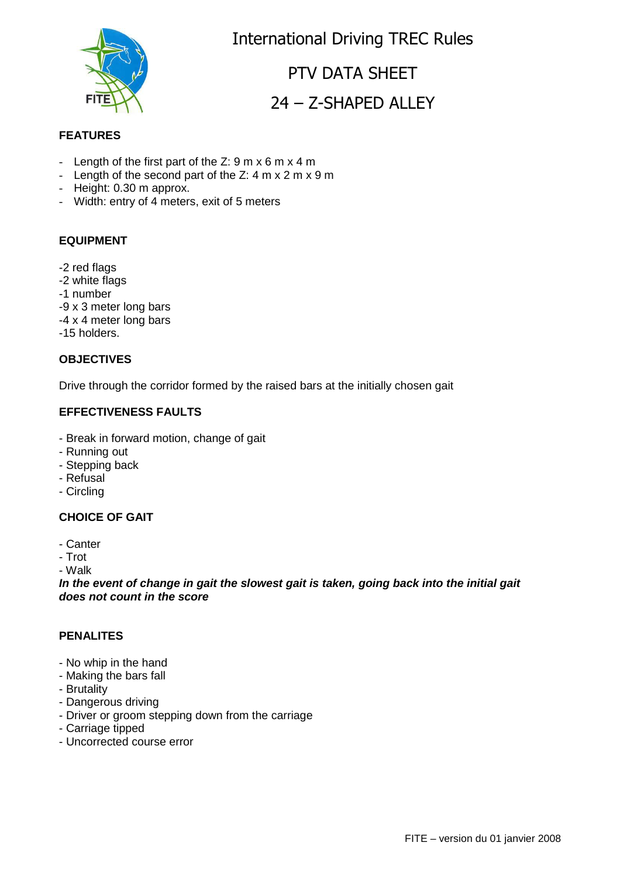

International Driving TREC Rules

# PTV DATA SHEET 24 – Z-SHAPED ALLEY

#### **FEATURES**

- Length of the first part of the Z:  $9 \text{ m} \times 6 \text{ m} \times 4 \text{ m}$
- Length of the second part of the Z: 4 m x 2 m x 9 m
- Height: 0.30 m approx.
- Width: entry of 4 meters, exit of 5 meters

#### **EQUIPMENT**

- -2 red flags
- -2 white flags
- -1 number
- -9 x 3 meter long bars
- -4 x 4 meter long bars
- -15 holders.

#### **OBJECTIVES**

Drive through the corridor formed by the raised bars at the initially chosen gait

#### **EFFECTIVENESS FAULTS**

- Break in forward motion, change of gait
- Running out
- Stepping back
- Refusal
- Circling

### **CHOICE OF GAIT**

- Canter
- Trot

- Walk

**In the event of change in gait the slowest gait is taken, going back into the initial gait does not count in the score**

#### **PENALITES**

- No whip in the hand
- Making the bars fall
- Brutality
- Dangerous driving
- Driver or groom stepping down from the carriage
- Carriage tipped
- Uncorrected course error